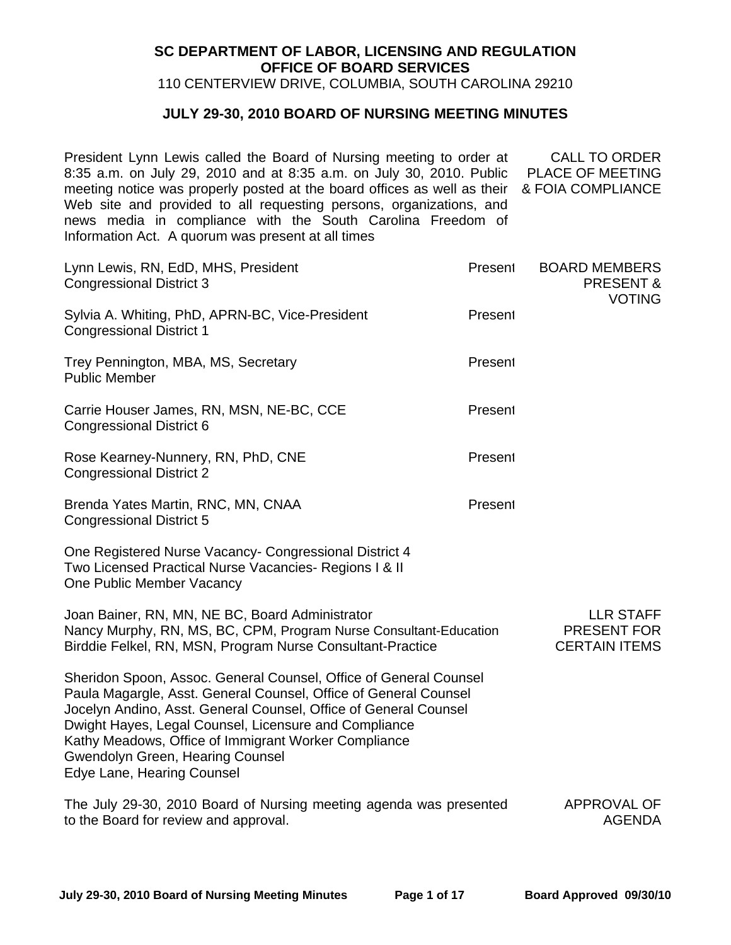## **SC DEPARTMENT OF LABOR, LICENSING AND REGULATION OFFICE OF BOARD SERVICES**

110 CENTERVIEW DRIVE, COLUMBIA, SOUTH CAROLINA 29210

## **JULY 29-30, 2010 BOARD OF NURSING MEETING MINUTES**

President Lynn Lewis called the Board of Nursing meeting to order at 8:35 a.m. on July 29, 2010 and at 8:35 a.m. on July 30, 2010. Public meeting notice was properly posted at the board offices as well as their Web site and provided to all requesting persons, organizations, and news media in compliance with the South Carolina Freedom of Information Act. A quorum was present at all times CALL TO ORDER PLACE OF MEETING & FOIA COMPLIANCE

Lynn Lewis, RN, EdD, MHS, President **Present** Present Congressional District 3 Sylvia A. Whiting, PhD, APRN-BC, Vice-President Present Congressional District 1 Trey Pennington, MBA, MS, Secretary **Present** Present Public Member Carrie Houser James, RN, MSN, NE-BC, CCE Present Congressional District 6 Rose Kearney-Nunnery, RN, PhD, CNE Present Congressional District 2 Brenda Yates Martin, RNC, MN, CNAA Present Congressional District 5 One Registered Nurse Vacancy- Congressional District 4 Two Licensed Practical Nurse Vacancies- Regions I & II One Public Member Vacancy BOARD MEMBERS PRESENT & VOTING Joan Bainer, RN, MN, NE BC, Board Administrator Nancy Murphy, RN, MS, BC, CPM, Program Nurse Consultant-Education Birddie Felkel, RN, MSN, Program Nurse Consultant-Practice Sheridon Spoon, Assoc. General Counsel, Office of General Counsel Paula Magargle, Asst. General Counsel, Office of General Counsel Jocelyn Andino, Asst. General Counsel, Office of General Counsel Dwight Hayes, Legal Counsel, Licensure and Compliance Kathy Meadows, Office of Immigrant Worker Compliance Gwendolyn Green, Hearing Counsel Edye Lane, Hearing Counsel LLR STAFF PRESENT FOR CERTAIN ITEMS The July 29-30, 2010 Board of Nursing meeting agenda was presented APPROVAL OF to the Board for review and approval. AGENDA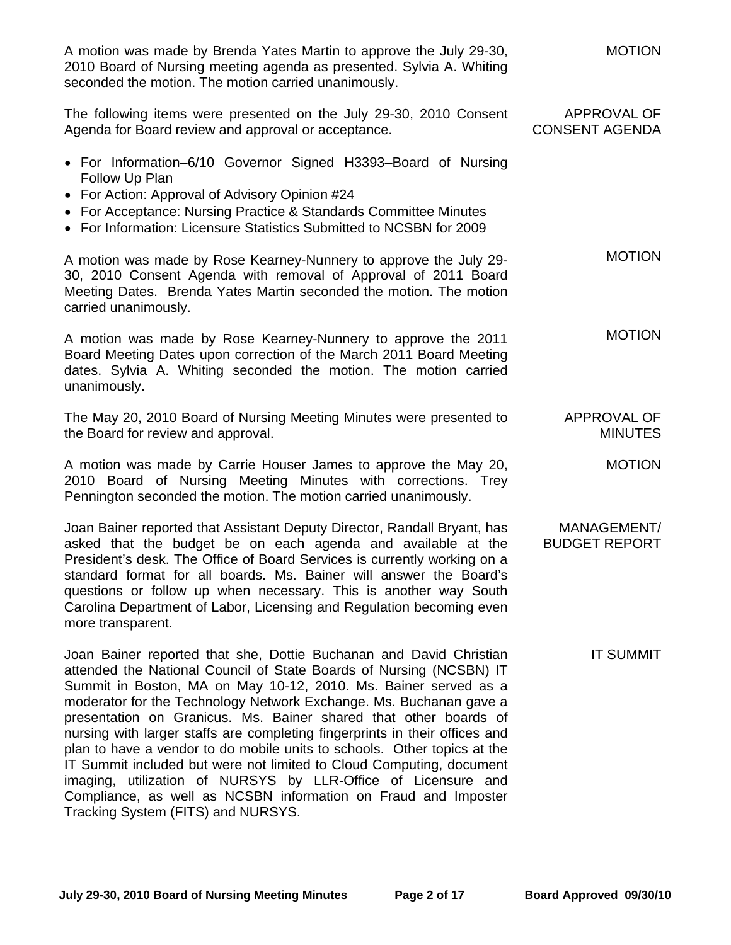| A motion was made by Brenda Yates Martin to approve the July 29-30,<br>2010 Board of Nursing meeting agenda as presented. Sylvia A. Whiting<br>seconded the motion. The motion carried unanimously.                                                                                                                                                                                                                                                                                                                                                                                                                                                                                                                          | <b>MOTION</b>                        |
|------------------------------------------------------------------------------------------------------------------------------------------------------------------------------------------------------------------------------------------------------------------------------------------------------------------------------------------------------------------------------------------------------------------------------------------------------------------------------------------------------------------------------------------------------------------------------------------------------------------------------------------------------------------------------------------------------------------------------|--------------------------------------|
| The following items were presented on the July 29-30, 2010 Consent<br>Agenda for Board review and approval or acceptance.                                                                                                                                                                                                                                                                                                                                                                                                                                                                                                                                                                                                    | APPROVAL OF<br><b>CONSENT AGENDA</b> |
| • For Information-6/10 Governor Signed H3393-Board of Nursing<br>Follow Up Plan<br>• For Action: Approval of Advisory Opinion #24<br>• For Acceptance: Nursing Practice & Standards Committee Minutes<br>• For Information: Licensure Statistics Submitted to NCSBN for 2009                                                                                                                                                                                                                                                                                                                                                                                                                                                 |                                      |
| A motion was made by Rose Kearney-Nunnery to approve the July 29-<br>30, 2010 Consent Agenda with removal of Approval of 2011 Board<br>Meeting Dates. Brenda Yates Martin seconded the motion. The motion<br>carried unanimously.                                                                                                                                                                                                                                                                                                                                                                                                                                                                                            | <b>MOTION</b>                        |
| A motion was made by Rose Kearney-Nunnery to approve the 2011<br>Board Meeting Dates upon correction of the March 2011 Board Meeting<br>dates. Sylvia A. Whiting seconded the motion. The motion carried<br>unanimously.                                                                                                                                                                                                                                                                                                                                                                                                                                                                                                     | <b>MOTION</b>                        |
| The May 20, 2010 Board of Nursing Meeting Minutes were presented to<br>the Board for review and approval.                                                                                                                                                                                                                                                                                                                                                                                                                                                                                                                                                                                                                    | APPROVAL OF<br><b>MINUTES</b>        |
| A motion was made by Carrie Houser James to approve the May 20,<br>2010 Board of Nursing Meeting Minutes with corrections. Trey<br>Pennington seconded the motion. The motion carried unanimously.                                                                                                                                                                                                                                                                                                                                                                                                                                                                                                                           | <b>MOTION</b>                        |
| Joan Bainer reported that Assistant Deputy Director, Randall Bryant, has<br>asked that the budget be on each agenda and available at the<br>President's desk. The Office of Board Services is currently working on a<br>standard format for all boards. Ms. Bainer will answer the Board's<br>questions or follow up when necessary. This is another way South<br>Carolina Department of Labor, Licensing and Regulation becoming even<br>more transparent.                                                                                                                                                                                                                                                                  | MANAGEMENT/<br><b>BUDGET REPORT</b>  |
| Joan Bainer reported that she, Dottie Buchanan and David Christian<br>attended the National Council of State Boards of Nursing (NCSBN) IT<br>Summit in Boston, MA on May 10-12, 2010. Ms. Bainer served as a<br>moderator for the Technology Network Exchange. Ms. Buchanan gave a<br>presentation on Granicus. Ms. Bainer shared that other boards of<br>nursing with larger staffs are completing fingerprints in their offices and<br>plan to have a vendor to do mobile units to schools. Other topics at the<br>IT Summit included but were not limited to Cloud Computing, document<br>imaging, utilization of NURSYS by LLR-Office of Licensure and<br>Compliance, as well as NCSBN information on Fraud and Imposter | <b>IT SUMMIT</b>                     |

Tracking System (FITS) and NURSYS.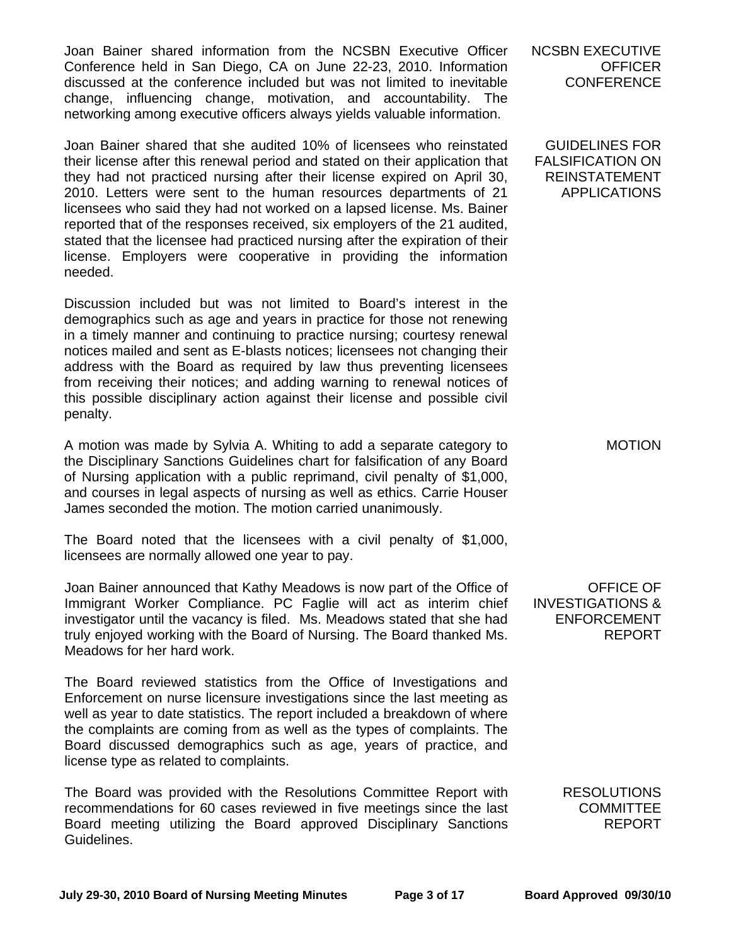Joan Bainer shared information from the NCSBN Executive Officer Conference held in San Diego, CA on June 22-23, 2010. Information discussed at the conference included but was not limited to inevitable change, influencing change, motivation, and accountability. The networking among executive officers always yields valuable information.

Joan Bainer shared that she audited 10% of licensees who reinstated their license after this renewal period and stated on their application that they had not practiced nursing after their license expired on April 30, 2010. Letters were sent to the human resources departments of 21 licensees who said they had not worked on a lapsed license. Ms. Bainer reported that of the responses received, six employers of the 21 audited, stated that the licensee had practiced nursing after the expiration of their license. Employers were cooperative in providing the information needed.

Discussion included but was not limited to Board's interest in the demographics such as age and years in practice for those not renewing in a timely manner and continuing to practice nursing; courtesy renewal notices mailed and sent as E-blasts notices; licensees not changing their address with the Board as required by law thus preventing licensees from receiving their notices; and adding warning to renewal notices of this possible disciplinary action against their license and possible civil penalty.

A motion was made by Sylvia A. Whiting to add a separate category to the Disciplinary Sanctions Guidelines chart for falsification of any Board of Nursing application with a public reprimand, civil penalty of \$1,000, and courses in legal aspects of nursing as well as ethics. Carrie Houser James seconded the motion. The motion carried unanimously.

The Board noted that the licensees with a civil penalty of \$1,000, licensees are normally allowed one year to pay.

Joan Bainer announced that Kathy Meadows is now part of the Office of Immigrant Worker Compliance. PC Faglie will act as interim chief investigator until the vacancy is filed. Ms. Meadows stated that she had truly enjoyed working with the Board of Nursing. The Board thanked Ms. Meadows for her hard work.

The Board reviewed statistics from the Office of Investigations and Enforcement on nurse licensure investigations since the last meeting as well as year to date statistics. The report included a breakdown of where the complaints are coming from as well as the types of complaints. The Board discussed demographics such as age, years of practice, and license type as related to complaints.

The Board was provided with the Resolutions Committee Report with recommendations for 60 cases reviewed in five meetings since the last Board meeting utilizing the Board approved Disciplinary Sanctions Guidelines.

NCSBN EXECUTIVE **OFFICER CONFERENCE** 

GUIDELINES FOR FALSIFICATION ON REINSTATEMENT APPLICATIONS

MOTION

OFFICE OF INVESTIGATIONS & ENFORCEMENT REPORT

> RESOLUTIONS **COMMITTEE** REPORT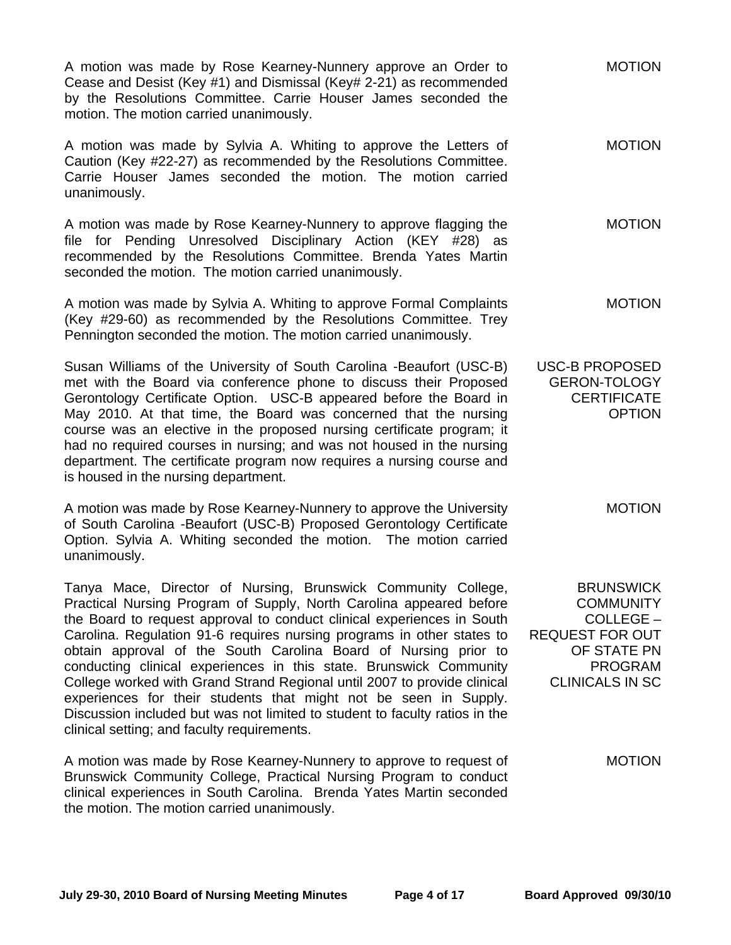A motion was made by Rose Kearney-Nunnery approve an Order to Cease and Desist (Key #1) and Dismissal (Key# 2-21) as recommended by the Resolutions Committee. Carrie Houser James seconded the motion. The motion carried unanimously.

A motion was made by Sylvia A. Whiting to approve the Letters of Caution (Key #22-27) as recommended by the Resolutions Committee. Carrie Houser James seconded the motion. The motion carried unanimously. MOTION

A motion was made by Rose Kearney-Nunnery to approve flagging the file for Pending Unresolved Disciplinary Action (KEY #28) as recommended by the Resolutions Committee. Brenda Yates Martin seconded the motion. The motion carried unanimously. MOTION

A motion was made by Sylvia A. Whiting to approve Formal Complaints (Key #29-60) as recommended by the Resolutions Committee. Trey Pennington seconded the motion. The motion carried unanimously. MOTION

Susan Williams of the University of South Carolina -Beaufort (USC-B) met with the Board via conference phone to discuss their Proposed Gerontology Certificate Option. USC-B appeared before the Board in May 2010. At that time, the Board was concerned that the nursing course was an elective in the proposed nursing certificate program; it had no required courses in nursing; and was not housed in the nursing department. The certificate program now requires a nursing course and is housed in the nursing department. USC-B PROPOSED GERON-TOLOGY **CERTIFICATE** OPTION

A motion was made by Rose Kearney-Nunnery to approve the University of South Carolina -Beaufort (USC-B) Proposed Gerontology Certificate Option. Sylvia A. Whiting seconded the motion. The motion carried unanimously.

Tanya Mace, Director of Nursing, Brunswick Community College, Practical Nursing Program of Supply, North Carolina appeared before the Board to request approval to conduct clinical experiences in South Carolina. Regulation 91-6 requires nursing programs in other states to obtain approval of the South Carolina Board of Nursing prior to conducting clinical experiences in this state. Brunswick Community College worked with Grand Strand Regional until 2007 to provide clinical experiences for their students that might not be seen in Supply. Discussion included but was not limited to student to faculty ratios in the clinical setting; and faculty requirements.

A motion was made by Rose Kearney-Nunnery to approve to request of Brunswick Community College, Practical Nursing Program to conduct clinical experiences in South Carolina. Brenda Yates Martin seconded the motion. The motion carried unanimously.

**BRUNSWICK COMMUNITY** COLLEGE – REQUEST FOR OUT OF STATE PN PROGRAM CLINICALS IN SC

MOTION

MOTION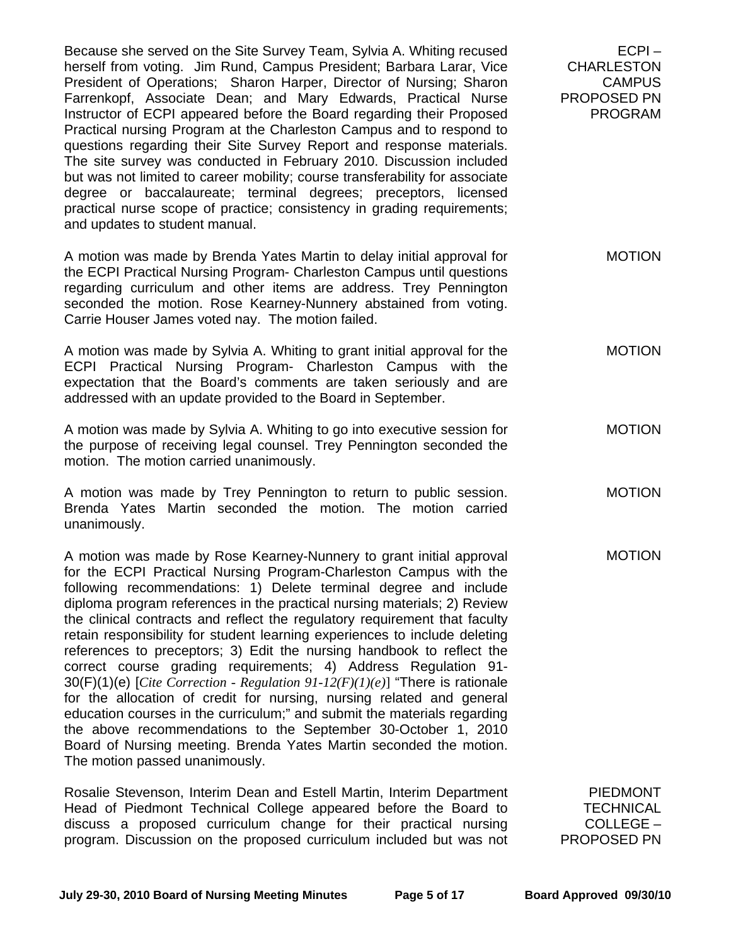Because she served on the Site Survey Team, Sylvia A. Whiting recused herself from voting. Jim Rund, Campus President; Barbara Larar, Vice President of Operations; Sharon Harper, Director of Nursing; Sharon Farrenkopf, Associate Dean; and Mary Edwards, Practical Nurse Instructor of ECPI appeared before the Board regarding their Proposed Practical nursing Program at the Charleston Campus and to respond to questions regarding their Site Survey Report and response materials. The site survey was conducted in February 2010. Discussion included but was not limited to career mobility; course transferability for associate degree or baccalaureate; terminal degrees; preceptors, licensed practical nurse scope of practice; consistency in grading requirements; and updates to student manual.

A motion was made by Brenda Yates Martin to delay initial approval for the ECPI Practical Nursing Program- Charleston Campus until questions regarding curriculum and other items are address. Trey Pennington seconded the motion. Rose Kearney-Nunnery abstained from voting. Carrie Houser James voted nay. The motion failed. MOTION

A motion was made by Sylvia A. Whiting to grant initial approval for the ECPI Practical Nursing Program- Charleston Campus with the expectation that the Board's comments are taken seriously and are addressed with an update provided to the Board in September.

A motion was made by Sylvia A. Whiting to go into executive session for the purpose of receiving legal counsel. Trey Pennington seconded the motion. The motion carried unanimously.

A motion was made by Trey Pennington to return to public session. Brenda Yates Martin seconded the motion. The motion carried unanimously. MOTION

A motion was made by Rose Kearney-Nunnery to grant initial approval for the ECPI Practical Nursing Program-Charleston Campus with the following recommendations: 1) Delete terminal degree and include diploma program references in the practical nursing materials; 2) Review the clinical contracts and reflect the regulatory requirement that faculty retain responsibility for student learning experiences to include deleting references to preceptors; 3) Edit the nursing handbook to reflect the correct course grading requirements; 4) Address Regulation 91- 30(F)(1)(e) [*Cite Correction - Regulation 91-12(F)(1)(e)*] "There is rationale for the allocation of credit for nursing, nursing related and general education courses in the curriculum;" and submit the materials regarding the above recommendations to the September 30-October 1, 2010 Board of Nursing meeting. Brenda Yates Martin seconded the motion. The motion passed unanimously. MOTION

Rosalie Stevenson, Interim Dean and Estell Martin, Interim Department Head of Piedmont Technical College appeared before the Board to discuss a proposed curriculum change for their practical nursing program. Discussion on the proposed curriculum included but was not

PIEDMONT **TECHNICAL** COLLEGE – PROPOSED PN

 $FCPI -$ 

MOTION

MOTION

**CHARLESTON** CAMPUS

PROPOSED PN PROGRAM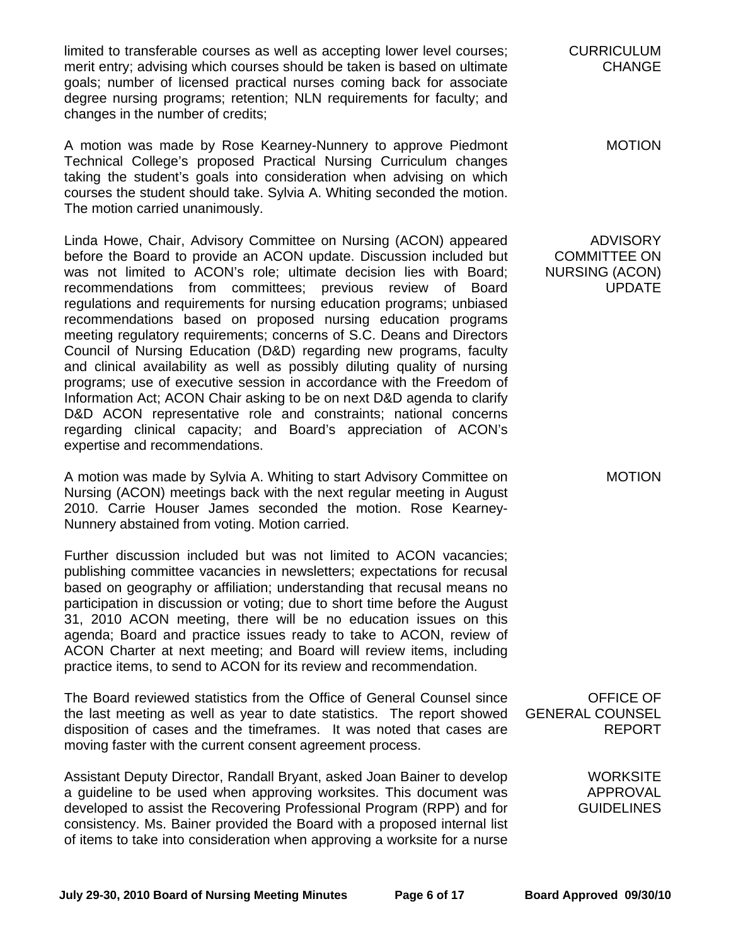limited to transferable courses as well as accepting lower level courses; merit entry; advising which courses should be taken is based on ultimate goals; number of licensed practical nurses coming back for associate degree nursing programs; retention; NLN requirements for faculty; and changes in the number of credits;

A motion was made by Rose Kearney-Nunnery to approve Piedmont Technical College's proposed Practical Nursing Curriculum changes taking the student's goals into consideration when advising on which courses the student should take. Sylvia A. Whiting seconded the motion. The motion carried unanimously.

Linda Howe, Chair, Advisory Committee on Nursing (ACON) appeared before the Board to provide an ACON update. Discussion included but was not limited to ACON's role; ultimate decision lies with Board; recommendations from committees; previous review of Board regulations and requirements for nursing education programs; unbiased recommendations based on proposed nursing education programs meeting regulatory requirements; concerns of S.C. Deans and Directors Council of Nursing Education (D&D) regarding new programs, faculty and clinical availability as well as possibly diluting quality of nursing programs; use of executive session in accordance with the Freedom of Information Act; ACON Chair asking to be on next D&D agenda to clarify D&D ACON representative role and constraints; national concerns regarding clinical capacity; and Board's appreciation of ACON's expertise and recommendations.

A motion was made by Sylvia A. Whiting to start Advisory Committee on Nursing (ACON) meetings back with the next regular meeting in August 2010. Carrie Houser James seconded the motion. Rose Kearney-Nunnery abstained from voting. Motion carried.

Further discussion included but was not limited to ACON vacancies; publishing committee vacancies in newsletters; expectations for recusal based on geography or affiliation; understanding that recusal means no participation in discussion or voting; due to short time before the August 31, 2010 ACON meeting, there will be no education issues on this agenda; Board and practice issues ready to take to ACON, review of ACON Charter at next meeting; and Board will review items, including practice items, to send to ACON for its review and recommendation.

The Board reviewed statistics from the Office of General Counsel since the last meeting as well as year to date statistics. The report showed disposition of cases and the timeframes. It was noted that cases are moving faster with the current consent agreement process.

Assistant Deputy Director, Randall Bryant, asked Joan Bainer to develop a guideline to be used when approving worksites. This document was developed to assist the Recovering Professional Program (RPP) and for consistency. Ms. Bainer provided the Board with a proposed internal list of items to take into consideration when approving a worksite for a nurse CURRICULUM CHANGE

MOTION

ADVISORY COMMITTEE ON NURSING (ACON) UPDATE

MOTION

OFFICE OF GENERAL COUNSEL REPORT

> **WORKSITE** APPROVAL **GUIDELINES**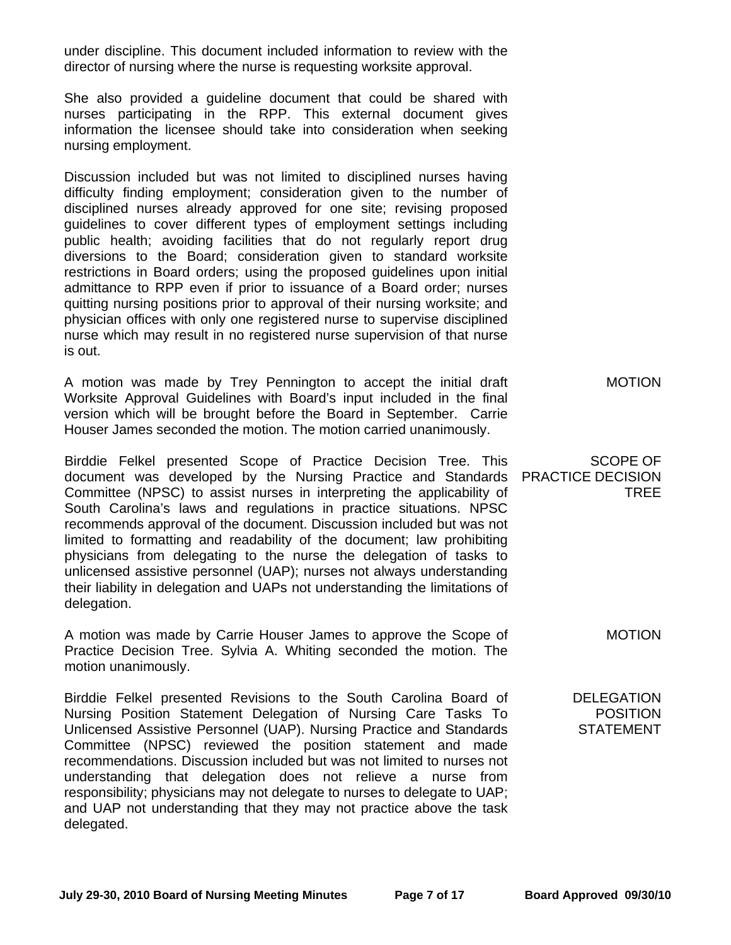under discipline. This document included information to review with the director of nursing where the nurse is requesting worksite approval.

She also provided a guideline document that could be shared with nurses participating in the RPP. This external document gives information the licensee should take into consideration when seeking nursing employment.

Discussion included but was not limited to disciplined nurses having difficulty finding employment; consideration given to the number of disciplined nurses already approved for one site; revising proposed guidelines to cover different types of employment settings including public health; avoiding facilities that do not regularly report drug diversions to the Board; consideration given to standard worksite restrictions in Board orders; using the proposed guidelines upon initial admittance to RPP even if prior to issuance of a Board order; nurses quitting nursing positions prior to approval of their nursing worksite; and physician offices with only one registered nurse to supervise disciplined nurse which may result in no registered nurse supervision of that nurse is out.

A motion was made by Trey Pennington to accept the initial draft Worksite Approval Guidelines with Board's input included in the final version which will be brought before the Board in September. Carrie Houser James seconded the motion. The motion carried unanimously. MOTION

Birddie Felkel presented Scope of Practice Decision Tree. This document was developed by the Nursing Practice and Standards PRACTICE DECISION Committee (NPSC) to assist nurses in interpreting the applicability of South Carolina's laws and regulations in practice situations. NPSC recommends approval of the document. Discussion included but was not limited to formatting and readability of the document; law prohibiting physicians from delegating to the nurse the delegation of tasks to unlicensed assistive personnel (UAP); nurses not always understanding their liability in delegation and UAPs not understanding the limitations of delegation.

A motion was made by Carrie Houser James to approve the Scope of Practice Decision Tree. Sylvia A. Whiting seconded the motion. The motion unanimously.

Birddie Felkel presented Revisions to the South Carolina Board of Nursing Position Statement Delegation of Nursing Care Tasks To Unlicensed Assistive Personnel (UAP). Nursing Practice and Standards Committee (NPSC) reviewed the position statement and made recommendations. Discussion included but was not limited to nurses not understanding that delegation does not relieve a nurse from responsibility; physicians may not delegate to nurses to delegate to UAP; and UAP not understanding that they may not practice above the task delegated.

SCOPE OF

TREE

MOTION

**DELEGATION POSITION STATEMENT**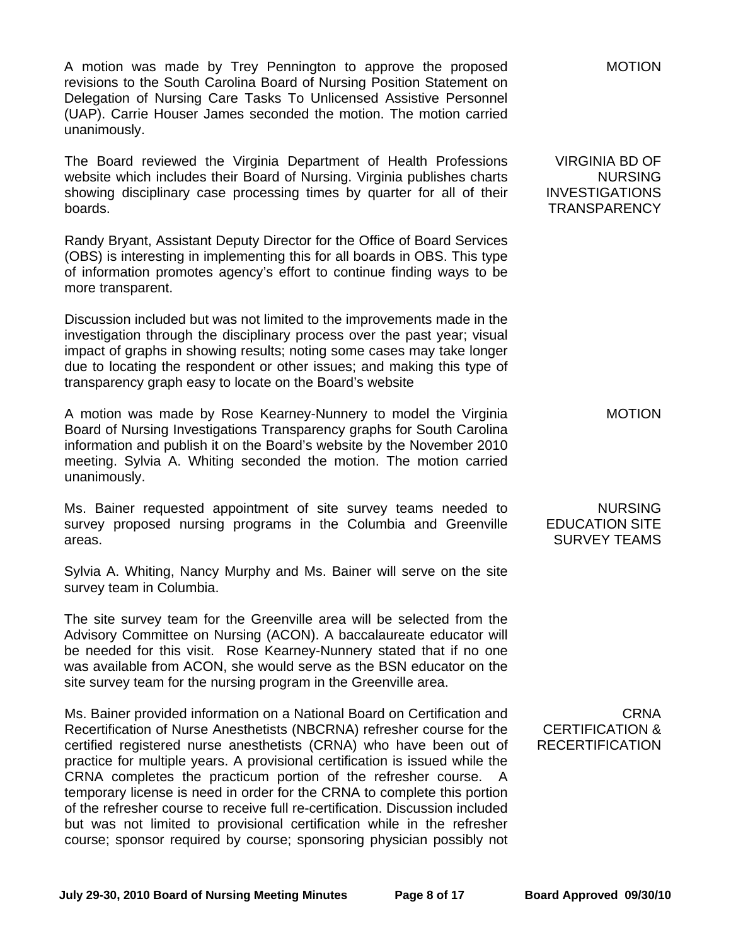A motion was made by Trey Pennington to approve the proposed revisions to the South Carolina Board of Nursing Position Statement on Delegation of Nursing Care Tasks To Unlicensed Assistive Personnel (UAP). Carrie Houser James seconded the motion. The motion carried unanimously.

The Board reviewed the Virginia Department of Health Professions website which includes their Board of Nursing. Virginia publishes charts showing disciplinary case processing times by quarter for all of their boards.

Randy Bryant, Assistant Deputy Director for the Office of Board Services (OBS) is interesting in implementing this for all boards in OBS. This type of information promotes agency's effort to continue finding ways to be more transparent.

Discussion included but was not limited to the improvements made in the investigation through the disciplinary process over the past year; visual impact of graphs in showing results; noting some cases may take longer due to locating the respondent or other issues; and making this type of transparency graph easy to locate on the Board's website

A motion was made by Rose Kearney-Nunnery to model the Virginia Board of Nursing Investigations Transparency graphs for South Carolina information and publish it on the Board's website by the November 2010 meeting. Sylvia A. Whiting seconded the motion. The motion carried unanimously.

Ms. Bainer requested appointment of site survey teams needed to survey proposed nursing programs in the Columbia and Greenville areas.

Sylvia A. Whiting, Nancy Murphy and Ms. Bainer will serve on the site survey team in Columbia.

The site survey team for the Greenville area will be selected from the Advisory Committee on Nursing (ACON). A baccalaureate educator will be needed for this visit. Rose Kearney-Nunnery stated that if no one was available from ACON, she would serve as the BSN educator on the site survey team for the nursing program in the Greenville area.

Ms. Bainer provided information on a National Board on Certification and Recertification of Nurse Anesthetists (NBCRNA) refresher course for the certified registered nurse anesthetists (CRNA) who have been out of practice for multiple years. A provisional certification is issued while the CRNA completes the practicum portion of the refresher course. A temporary license is need in order for the CRNA to complete this portion of the refresher course to receive full re-certification. Discussion included but was not limited to provisional certification while in the refresher course; sponsor required by course; sponsoring physician possibly not

MOTION

VIRGINIA BD OF NURSING INVESTIGATIONS **TRANSPARENCY** 

MOTION

NURSING EDUCATION SITE SURVEY TEAMS

CRNA CERTIFICATION & **RECERTIFICATION**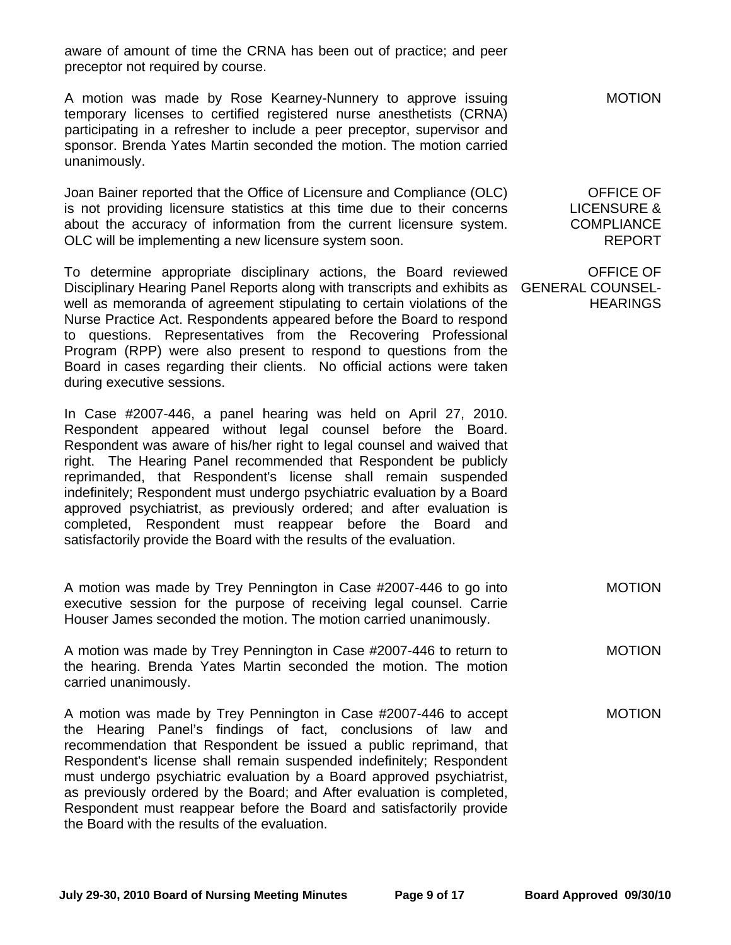aware of amount of time the CRNA has been out of practice; and peer preceptor not required by course.

A motion was made by Rose Kearney-Nunnery to approve issuing temporary licenses to certified registered nurse anesthetists (CRNA) participating in a refresher to include a peer preceptor, supervisor and sponsor. Brenda Yates Martin seconded the motion. The motion carried unanimously.

Joan Bainer reported that the Office of Licensure and Compliance (OLC) is not providing licensure statistics at this time due to their concerns about the accuracy of information from the current licensure system. OLC will be implementing a new licensure system soon.

To determine appropriate disciplinary actions, the Board reviewed Disciplinary Hearing Panel Reports along with transcripts and exhibits as GENERAL COUNSELwell as memoranda of agreement stipulating to certain violations of the Nurse Practice Act. Respondents appeared before the Board to respond to questions. Representatives from the Recovering Professional Program (RPP) were also present to respond to questions from the Board in cases regarding their clients. No official actions were taken during executive sessions.

In Case #2007-446, a panel hearing was held on April 27, 2010. Respondent appeared without legal counsel before the Board. Respondent was aware of his/her right to legal counsel and waived that right. The Hearing Panel recommended that Respondent be publicly reprimanded, that Respondent's license shall remain suspended indefinitely; Respondent must undergo psychiatric evaluation by a Board approved psychiatrist, as previously ordered; and after evaluation is completed, Respondent must reappear before the Board and satisfactorily provide the Board with the results of the evaluation.

A motion was made by Trey Pennington in Case #2007-446 to go into executive session for the purpose of receiving legal counsel. Carrie Houser James seconded the motion. The motion carried unanimously. MOTION

A motion was made by Trey Pennington in Case #2007-446 to return to the hearing. Brenda Yates Martin seconded the motion. The motion carried unanimously. MOTION

A motion was made by Trey Pennington in Case #2007-446 to accept the Hearing Panel's findings of fact, conclusions of law and recommendation that Respondent be issued a public reprimand, that Respondent's license shall remain suspended indefinitely; Respondent must undergo psychiatric evaluation by a Board approved psychiatrist, as previously ordered by the Board; and After evaluation is completed, Respondent must reappear before the Board and satisfactorily provide the Board with the results of the evaluation. MOTION

MOTION

OFFICE OF LICENSURE & **COMPLIANCE** REPORT

OFFICE OF **HEARINGS**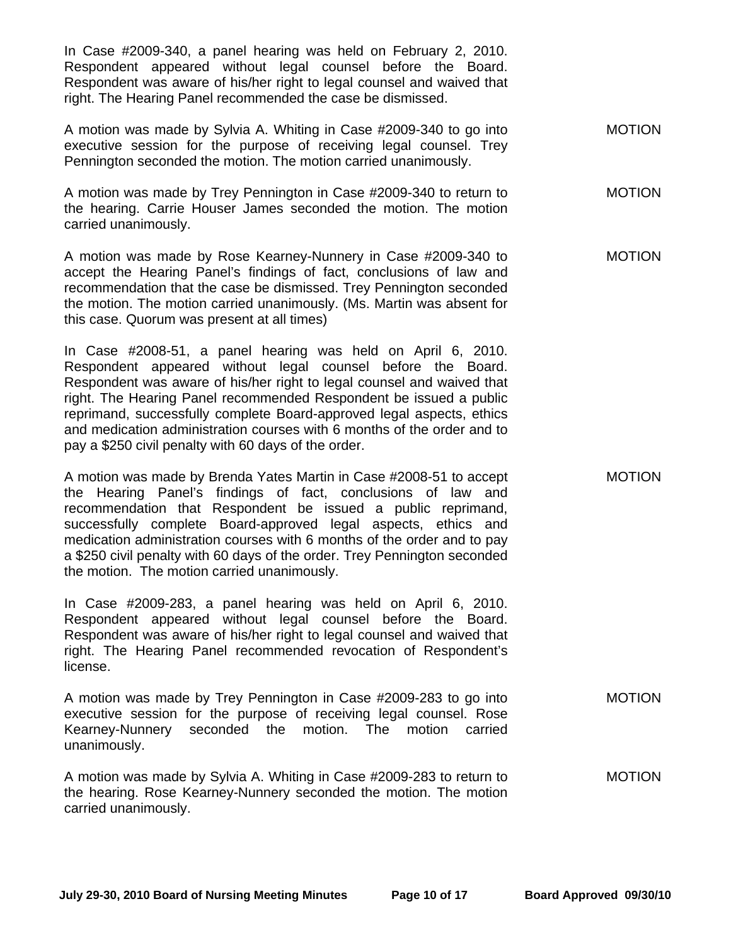In Case #2009-340, a panel hearing was held on February 2, 2010. Respondent appeared without legal counsel before the Board. Respondent was aware of his/her right to legal counsel and waived that right. The Hearing Panel recommended the case be dismissed.

A motion was made by Sylvia A. Whiting in Case #2009-340 to go into executive session for the purpose of receiving legal counsel. Trey Pennington seconded the motion. The motion carried unanimously. MOTION

A motion was made by Trey Pennington in Case #2009-340 to return to the hearing. Carrie Houser James seconded the motion. The motion carried unanimously. MOTION

A motion was made by Rose Kearney-Nunnery in Case #2009-340 to accept the Hearing Panel's findings of fact, conclusions of law and recommendation that the case be dismissed. Trey Pennington seconded the motion. The motion carried unanimously. (Ms. Martin was absent for this case. Quorum was present at all times)

In Case #2008-51, a panel hearing was held on April 6, 2010. Respondent appeared without legal counsel before the Board. Respondent was aware of his/her right to legal counsel and waived that right. The Hearing Panel recommended Respondent be issued a public reprimand, successfully complete Board-approved legal aspects, ethics and medication administration courses with 6 months of the order and to pay a \$250 civil penalty with 60 days of the order.

A motion was made by Brenda Yates Martin in Case #2008-51 to accept the Hearing Panel's findings of fact, conclusions of law and recommendation that Respondent be issued a public reprimand, successfully complete Board-approved legal aspects, ethics and medication administration courses with 6 months of the order and to pay a \$250 civil penalty with 60 days of the order. Trey Pennington seconded the motion. The motion carried unanimously.

In Case #2009-283, a panel hearing was held on April 6, 2010. Respondent appeared without legal counsel before the Board. Respondent was aware of his/her right to legal counsel and waived that right. The Hearing Panel recommended revocation of Respondent's license.

A motion was made by Trey Pennington in Case #2009-283 to go into executive session for the purpose of receiving legal counsel. Rose Kearney-Nunnery seconded the motion. The motion carried unanimously. MOTION

A motion was made by Sylvia A. Whiting in Case #2009-283 to return to the hearing. Rose Kearney-Nunnery seconded the motion. The motion carried unanimously. MOTION

MOTION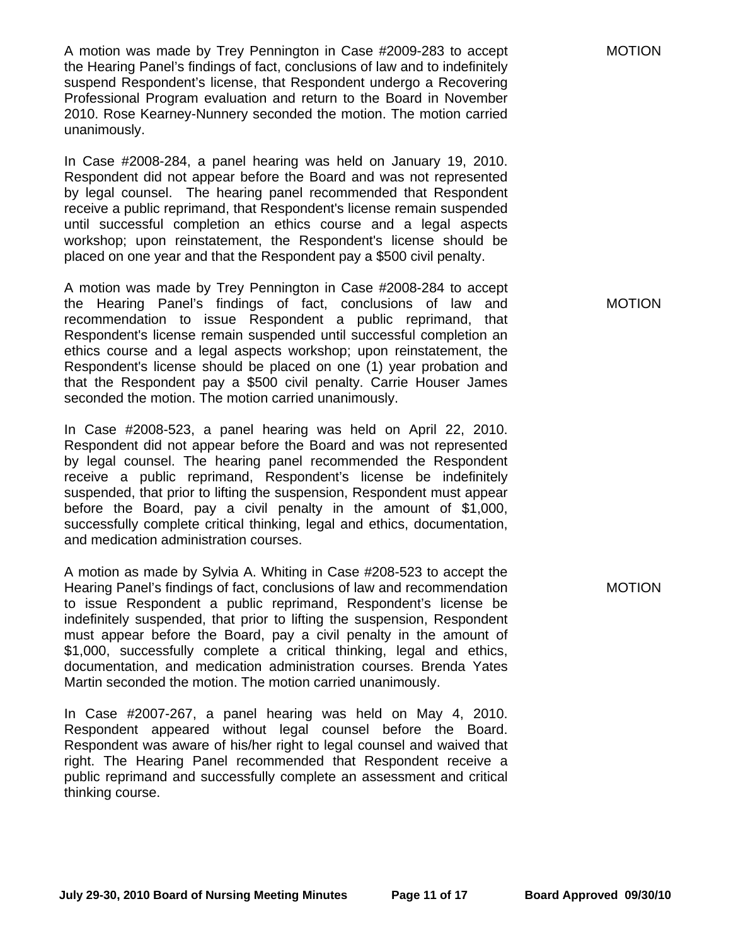A motion was made by Trey Pennington in Case #2009-283 to accept the Hearing Panel's findings of fact, conclusions of law and to indefinitely suspend Respondent's license, that Respondent undergo a Recovering Professional Program evaluation and return to the Board in November 2010. Rose Kearney-Nunnery seconded the motion. The motion carried unanimously.

In Case #2008-284, a panel hearing was held on January 19, 2010. Respondent did not appear before the Board and was not represented by legal counsel. The hearing panel recommended that Respondent receive a public reprimand, that Respondent's license remain suspended until successful completion an ethics course and a legal aspects workshop; upon reinstatement, the Respondent's license should be placed on one year and that the Respondent pay a \$500 civil penalty.

A motion was made by Trey Pennington in Case #2008-284 to accept the Hearing Panel's findings of fact, conclusions of law and recommendation to issue Respondent a public reprimand, that Respondent's license remain suspended until successful completion an ethics course and a legal aspects workshop; upon reinstatement, the Respondent's license should be placed on one (1) year probation and that the Respondent pay a \$500 civil penalty. Carrie Houser James seconded the motion. The motion carried unanimously.

In Case #2008-523, a panel hearing was held on April 22, 2010. Respondent did not appear before the Board and was not represented by legal counsel. The hearing panel recommended the Respondent receive a public reprimand, Respondent's license be indefinitely suspended, that prior to lifting the suspension, Respondent must appear before the Board, pay a civil penalty in the amount of \$1,000, successfully complete critical thinking, legal and ethics, documentation, and medication administration courses.

A motion as made by Sylvia A. Whiting in Case #208-523 to accept the Hearing Panel's findings of fact, conclusions of law and recommendation to issue Respondent a public reprimand, Respondent's license be indefinitely suspended, that prior to lifting the suspension, Respondent must appear before the Board, pay a civil penalty in the amount of \$1,000, successfully complete a critical thinking, legal and ethics, documentation, and medication administration courses. Brenda Yates Martin seconded the motion. The motion carried unanimously.

In Case #2007-267, a panel hearing was held on May 4, 2010. Respondent appeared without legal counsel before the Board. Respondent was aware of his/her right to legal counsel and waived that right. The Hearing Panel recommended that Respondent receive a public reprimand and successfully complete an assessment and critical thinking course.

MOTION

MOTION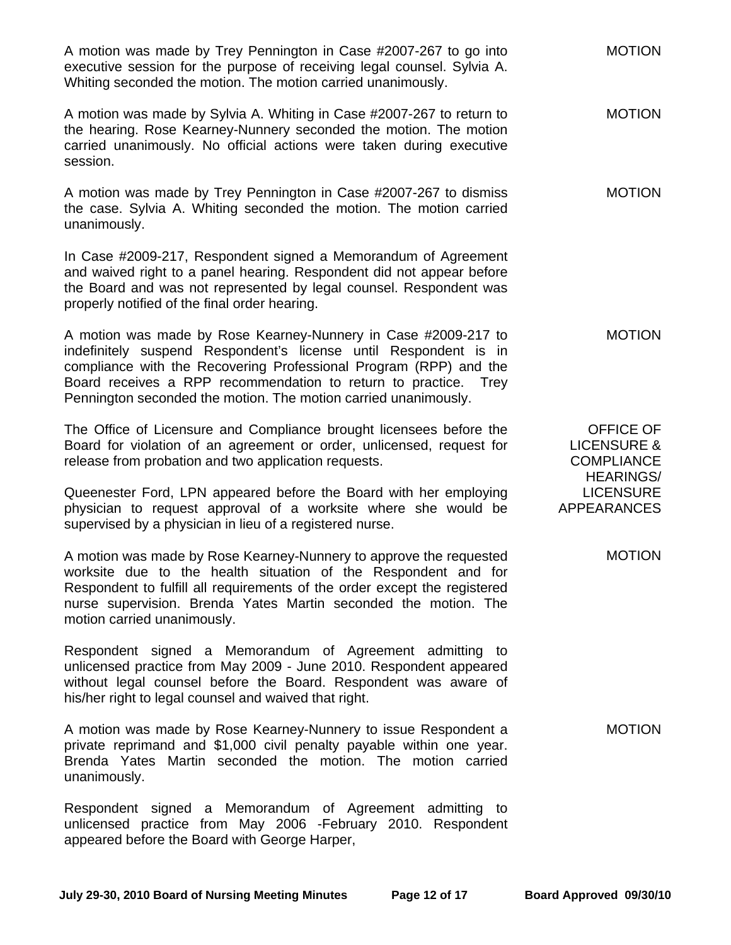| A motion was made by Trey Pennington in Case #2007-267 to go into<br>executive session for the purpose of receiving legal counsel. Sylvia A.<br>Whiting seconded the motion. The motion carried unanimously.                                                                                                                                  | <b>MOTION</b>                                                                       |
|-----------------------------------------------------------------------------------------------------------------------------------------------------------------------------------------------------------------------------------------------------------------------------------------------------------------------------------------------|-------------------------------------------------------------------------------------|
| A motion was made by Sylvia A. Whiting in Case #2007-267 to return to<br>the hearing. Rose Kearney-Nunnery seconded the motion. The motion<br>carried unanimously. No official actions were taken during executive<br>session.                                                                                                                | <b>MOTION</b>                                                                       |
| A motion was made by Trey Pennington in Case #2007-267 to dismiss<br>the case. Sylvia A. Whiting seconded the motion. The motion carried<br>unanimously.                                                                                                                                                                                      | <b>MOTION</b>                                                                       |
| In Case #2009-217, Respondent signed a Memorandum of Agreement<br>and waived right to a panel hearing. Respondent did not appear before<br>the Board and was not represented by legal counsel. Respondent was<br>properly notified of the final order hearing.                                                                                |                                                                                     |
| A motion was made by Rose Kearney-Nunnery in Case #2009-217 to<br>indefinitely suspend Respondent's license until Respondent is in<br>compliance with the Recovering Professional Program (RPP) and the<br>Board receives a RPP recommendation to return to practice. Trey<br>Pennington seconded the motion. The motion carried unanimously. | <b>MOTION</b>                                                                       |
| The Office of Licensure and Compliance brought licensees before the<br>Board for violation of an agreement or order, unlicensed, request for<br>release from probation and two application requests.                                                                                                                                          | <b>OFFICE OF</b><br><b>LICENSURE &amp;</b><br><b>COMPLIANCE</b><br><b>HEARINGS/</b> |
| Queenester Ford, LPN appeared before the Board with her employing<br>physician to request approval of a worksite where she would be<br>supervised by a physician in lieu of a registered nurse.                                                                                                                                               | <b>LICENSURE</b><br><b>APPEARANCES</b>                                              |
| A motion was made by Rose Kearney-Nunnery to approve the requested<br>worksite due to the health situation of the Respondent and for<br>Respondent to fulfill all requirements of the order except the registered<br>nurse supervision. Brenda Yates Martin seconded the motion. The<br>motion carried unanimously.                           | <b>MOTION</b>                                                                       |
| Respondent signed a Memorandum of Agreement admitting to<br>unlicensed practice from May 2009 - June 2010. Respondent appeared<br>without legal counsel before the Board. Respondent was aware of<br>his/her right to legal counsel and waived that right.                                                                                    |                                                                                     |
| A motion was made by Rose Kearney-Nunnery to issue Respondent a<br>private reprimand and \$1,000 civil penalty payable within one year.<br>Brenda Yates Martin seconded the motion. The motion carried<br>unanimously.                                                                                                                        | <b>MOTION</b>                                                                       |
| Respondent signed a Memorandum of Agreement admitting to<br>unlicensed practice from May 2006 -February 2010. Respondent<br>appeared before the Board with George Harper,                                                                                                                                                                     |                                                                                     |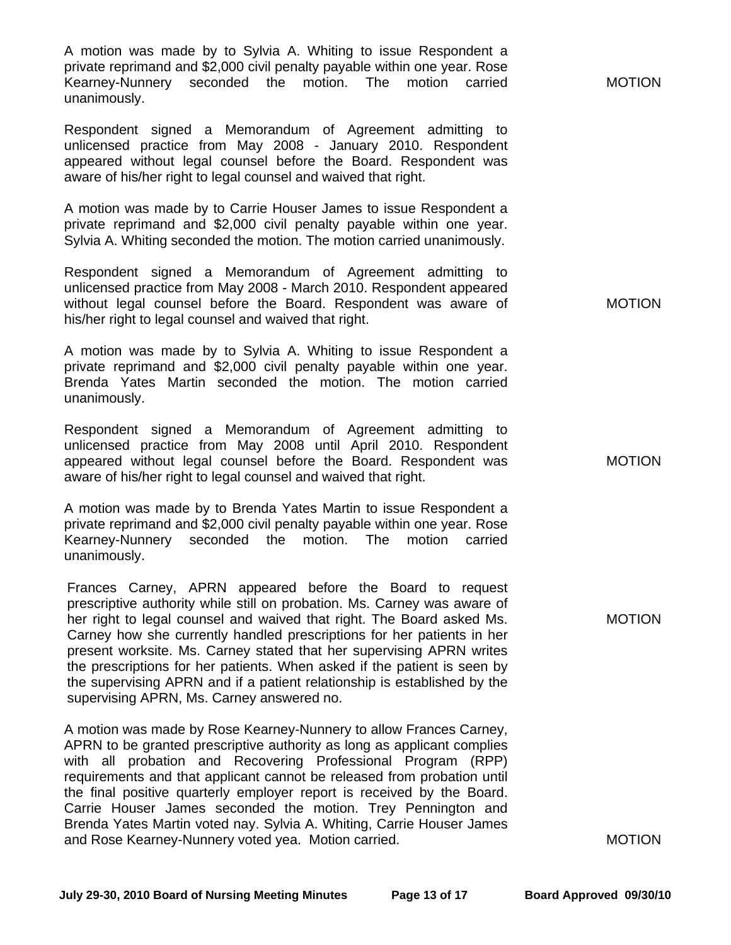A motion was made by to Sylvia A. Whiting to issue Respondent a private reprimand and \$2,000 civil penalty payable within one year. Rose Kearney-Nunnery seconded the motion. The motion carried unanimously.

Respondent signed a Memorandum of Agreement admitting to unlicensed practice from May 2008 - January 2010. Respondent appeared without legal counsel before the Board. Respondent was aware of his/her right to legal counsel and waived that right.

A motion was made by to Carrie Houser James to issue Respondent a private reprimand and \$2,000 civil penalty payable within one year. Sylvia A. Whiting seconded the motion. The motion carried unanimously.

Respondent signed a Memorandum of Agreement admitting to unlicensed practice from May 2008 - March 2010. Respondent appeared without legal counsel before the Board. Respondent was aware of his/her right to legal counsel and waived that right.

A motion was made by to Sylvia A. Whiting to issue Respondent a private reprimand and \$2,000 civil penalty payable within one year. Brenda Yates Martin seconded the motion. The motion carried unanimously.

Respondent signed a Memorandum of Agreement admitting to unlicensed practice from May 2008 until April 2010. Respondent appeared without legal counsel before the Board. Respondent was aware of his/her right to legal counsel and waived that right.

A motion was made by to Brenda Yates Martin to issue Respondent a private reprimand and \$2,000 civil penalty payable within one year. Rose Kearney-Nunnery seconded the motion. The motion carried unanimously.

Frances Carney, APRN appeared before the Board to request prescriptive authority while still on probation. Ms. Carney was aware of her right to legal counsel and waived that right. The Board asked Ms. Carney how she currently handled prescriptions for her patients in her present worksite. Ms. Carney stated that her supervising APRN writes the prescriptions for her patients. When asked if the patient is seen by the supervising APRN and if a patient relationship is established by the supervising APRN, Ms. Carney answered no.

A motion was made by Rose Kearney-Nunnery to allow Frances Carney, APRN to be granted prescriptive authority as long as applicant complies with all probation and Recovering Professional Program (RPP) requirements and that applicant cannot be released from probation until the final positive quarterly employer report is received by the Board. Carrie Houser James seconded the motion. Trey Pennington and Brenda Yates Martin voted nay. Sylvia A. Whiting, Carrie Houser James and Rose Kearney-Nunnery voted yea. Motion carried.

MOTION

MOTION

MOTION

MOTION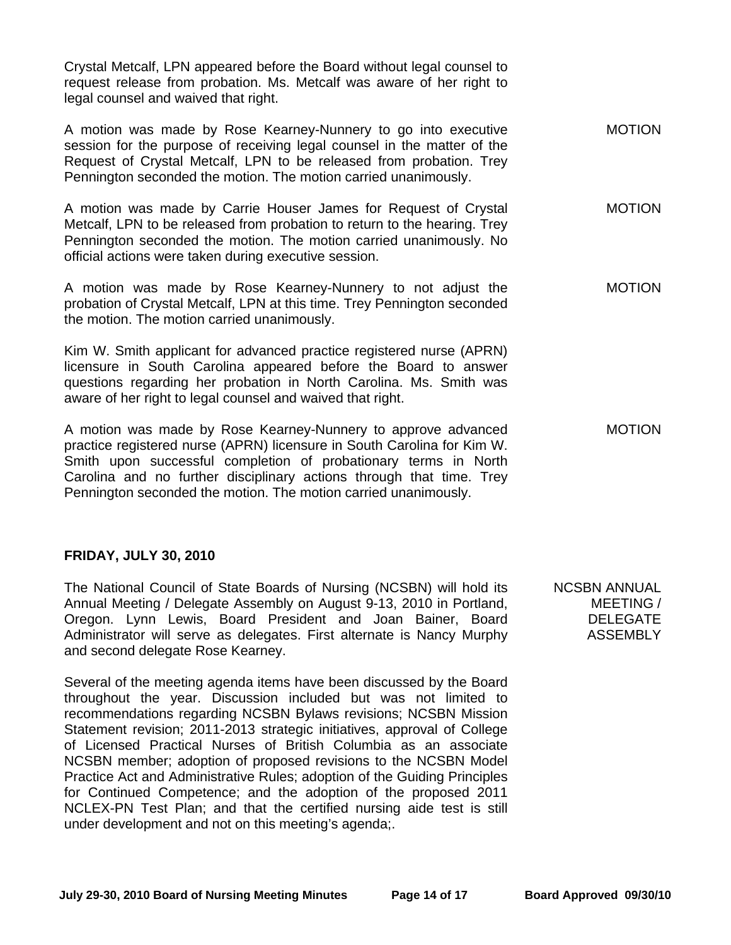Crystal Metcalf, LPN appeared before the Board without legal counsel to request release from probation. Ms. Metcalf was aware of her right to legal counsel and waived that right.

A motion was made by Rose Kearney-Nunnery to go into executive session for the purpose of receiving legal counsel in the matter of the Request of Crystal Metcalf, LPN to be released from probation. Trey Pennington seconded the motion. The motion carried unanimously. MOTION

A motion was made by Carrie Houser James for Request of Crystal Metcalf, LPN to be released from probation to return to the hearing. Trey Pennington seconded the motion. The motion carried unanimously. No official actions were taken during executive session. MOTION

A motion was made by Rose Kearney-Nunnery to not adjust the probation of Crystal Metcalf, LPN at this time. Trey Pennington seconded the motion. The motion carried unanimously.

Kim W. Smith applicant for advanced practice registered nurse (APRN) licensure in South Carolina appeared before the Board to answer questions regarding her probation in North Carolina. Ms. Smith was aware of her right to legal counsel and waived that right.

A motion was made by Rose Kearney-Nunnery to approve advanced practice registered nurse (APRN) licensure in South Carolina for Kim W. Smith upon successful completion of probationary terms in North Carolina and no further disciplinary actions through that time. Trey Pennington seconded the motion. The motion carried unanimously. MOTION

## **FRIDAY, JULY 30, 2010**

The National Council of State Boards of Nursing (NCSBN) will hold its Annual Meeting / Delegate Assembly on August 9-13, 2010 in Portland, Oregon. Lynn Lewis, Board President and Joan Bainer, Board Administrator will serve as delegates. First alternate is Nancy Murphy and second delegate Rose Kearney.

Several of the meeting agenda items have been discussed by the Board throughout the year. Discussion included but was not limited to recommendations regarding NCSBN Bylaws revisions; NCSBN Mission Statement revision; 2011-2013 strategic initiatives, approval of College of Licensed Practical Nurses of British Columbia as an associate NCSBN member; adoption of proposed revisions to the NCSBN Model Practice Act and Administrative Rules; adoption of the Guiding Principles for Continued Competence; and the adoption of the proposed 2011 NCLEX-PN Test Plan; and that the certified nursing aide test is still under development and not on this meeting's agenda;.

NCSBN ANNUAL MEETING / DELEGATE ASSEMBLY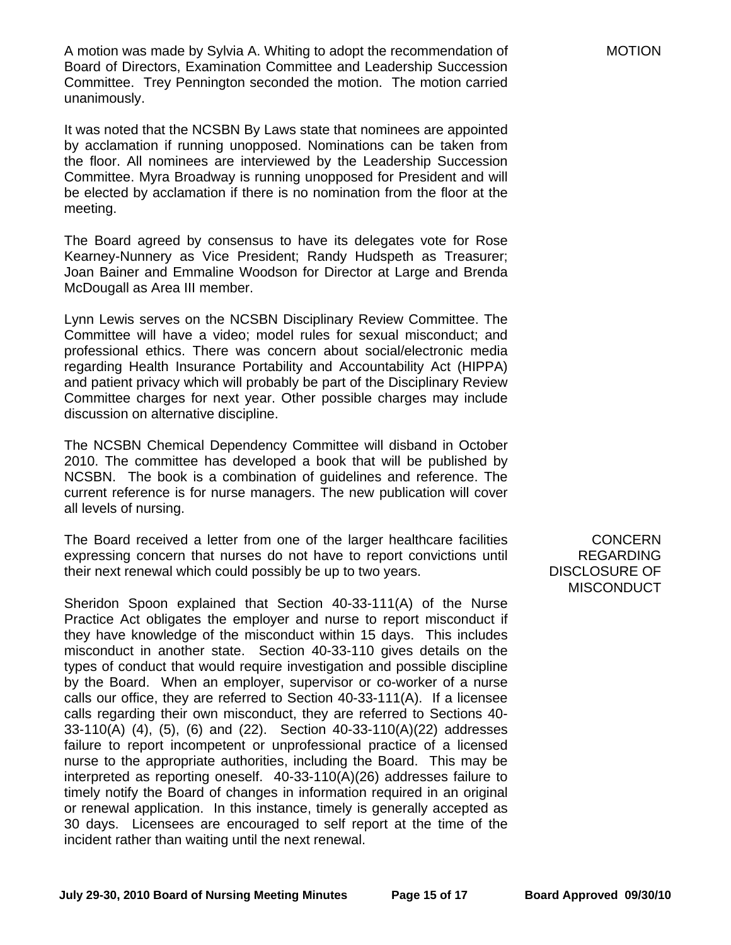A motion was made by Sylvia A. Whiting to adopt the recommendation of Board of Directors, Examination Committee and Leadership Succession Committee. Trey Pennington seconded the motion. The motion carried unanimously.

It was noted that the NCSBN By Laws state that nominees are appointed by acclamation if running unopposed. Nominations can be taken from the floor. All nominees are interviewed by the Leadership Succession Committee. Myra Broadway is running unopposed for President and will be elected by acclamation if there is no nomination from the floor at the meeting.

The Board agreed by consensus to have its delegates vote for Rose Kearney-Nunnery as Vice President; Randy Hudspeth as Treasurer; Joan Bainer and Emmaline Woodson for Director at Large and Brenda McDougall as Area III member.

Lynn Lewis serves on the NCSBN Disciplinary Review Committee. The Committee will have a video; model rules for sexual misconduct; and professional ethics. There was concern about social/electronic media regarding Health Insurance Portability and Accountability Act (HIPPA) and patient privacy which will probably be part of the Disciplinary Review Committee charges for next year. Other possible charges may include discussion on alternative discipline.

The NCSBN Chemical Dependency Committee will disband in October 2010. The committee has developed a book that will be published by NCSBN. The book is a combination of guidelines and reference. The current reference is for nurse managers. The new publication will cover all levels of nursing.

The Board received a letter from one of the larger healthcare facilities expressing concern that nurses do not have to report convictions until their next renewal which could possibly be up to two years.

Sheridon Spoon explained that Section 40-33-111(A) of the Nurse Practice Act obligates the employer and nurse to report misconduct if they have knowledge of the misconduct within 15 days. This includes misconduct in another state. Section 40-33-110 gives details on the types of conduct that would require investigation and possible discipline by the Board. When an employer, supervisor or co-worker of a nurse calls our office, they are referred to Section 40-33-111(A). If a licensee calls regarding their own misconduct, they are referred to Sections 40- 33-110(A) (4), (5), (6) and (22). Section 40-33-110(A)(22) addresses failure to report incompetent or unprofessional practice of a licensed nurse to the appropriate authorities, including the Board. This may be interpreted as reporting oneself. 40-33-110(A)(26) addresses failure to timely notify the Board of changes in information required in an original or renewal application. In this instance, timely is generally accepted as 30 days. Licensees are encouraged to self report at the time of the incident rather than waiting until the next renewal.

**CONCERN** REGARDING DISCLOSURE OF **MISCONDUCT**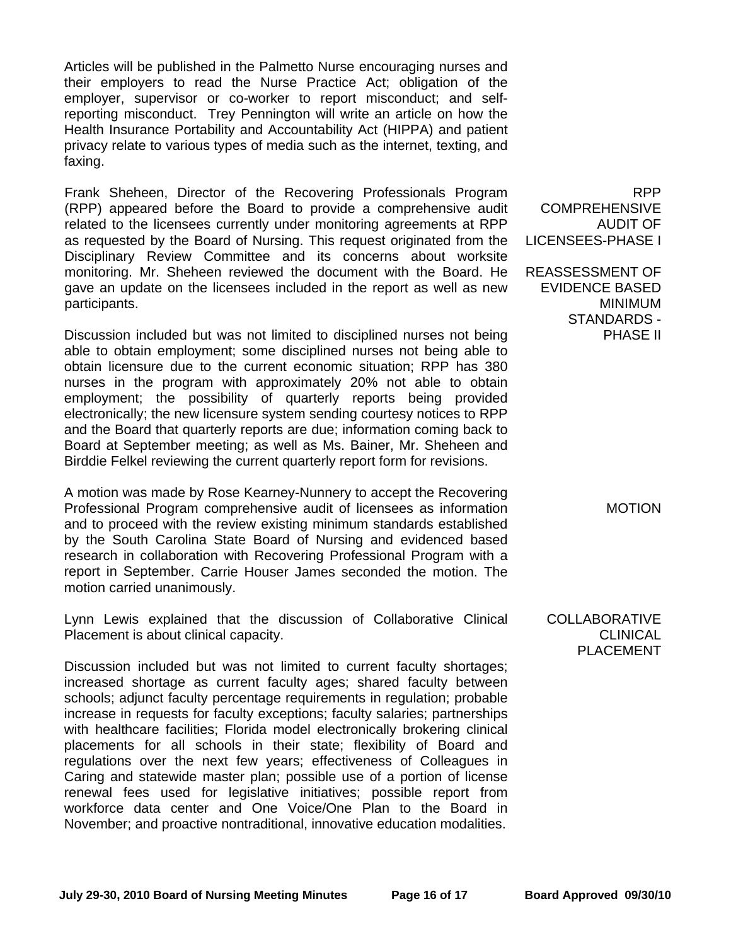Articles will be published in the Palmetto Nurse encouraging nurses and their employers to read the Nurse Practice Act; obligation of the employer, supervisor or co-worker to report misconduct; and selfreporting misconduct. Trey Pennington will write an article on how the Health Insurance Portability and Accountability Act (HIPPA) and patient privacy relate to various types of media such as the internet, texting, and faxing.

Frank Sheheen, Director of the Recovering Professionals Program (RPP) appeared before the Board to provide a comprehensive audit related to the licensees currently under monitoring agreements at RPP as requested by the Board of Nursing. This request originated from the Disciplinary Review Committee and its concerns about worksite monitoring. Mr. Sheheen reviewed the document with the Board. He gave an update on the licensees included in the report as well as new participants.

Discussion included but was not limited to disciplined nurses not being able to obtain employment; some disciplined nurses not being able to obtain licensure due to the current economic situation; RPP has 380 nurses in the program with approximately 20% not able to obtain employment; the possibility of quarterly reports being provided electronically; the new licensure system sending courtesy notices to RPP and the Board that quarterly reports are due; information coming back to Board at September meeting; as well as Ms. Bainer, Mr. Sheheen and Birddie Felkel reviewing the current quarterly report form for revisions.

A motion was made by Rose Kearney-Nunnery to accept the Recovering Professional Program comprehensive audit of licensees as information and to proceed with the review existing minimum standards established by the South Carolina State Board of Nursing and evidenced based research in collaboration with Recovering Professional Program with a report in September. Carrie Houser James seconded the motion. The motion carried unanimously.

Lynn Lewis explained that the discussion of Collaborative Clinical Placement is about clinical capacity.

Discussion included but was not limited to current faculty shortages; increased shortage as current faculty ages; shared faculty between schools; adjunct faculty percentage requirements in regulation; probable increase in requests for faculty exceptions; faculty salaries; partnerships with healthcare facilities; Florida model electronically brokering clinical placements for all schools in their state; flexibility of Board and regulations over the next few years; effectiveness of Colleagues in Caring and statewide master plan; possible use of a portion of license renewal fees used for legislative initiatives; possible report from workforce data center and One Voice/One Plan to the Board in November; and proactive nontraditional, innovative education modalities.

RPP COMPREHENSIVE AUDIT OF LICENSEES-PHASE I

REASSESSMENT OF EVIDENCE BASED MINIMUM STANDARDS - PHASE II

MOTION

COLLABORATIVE **CLINICAL** PLACEMENT